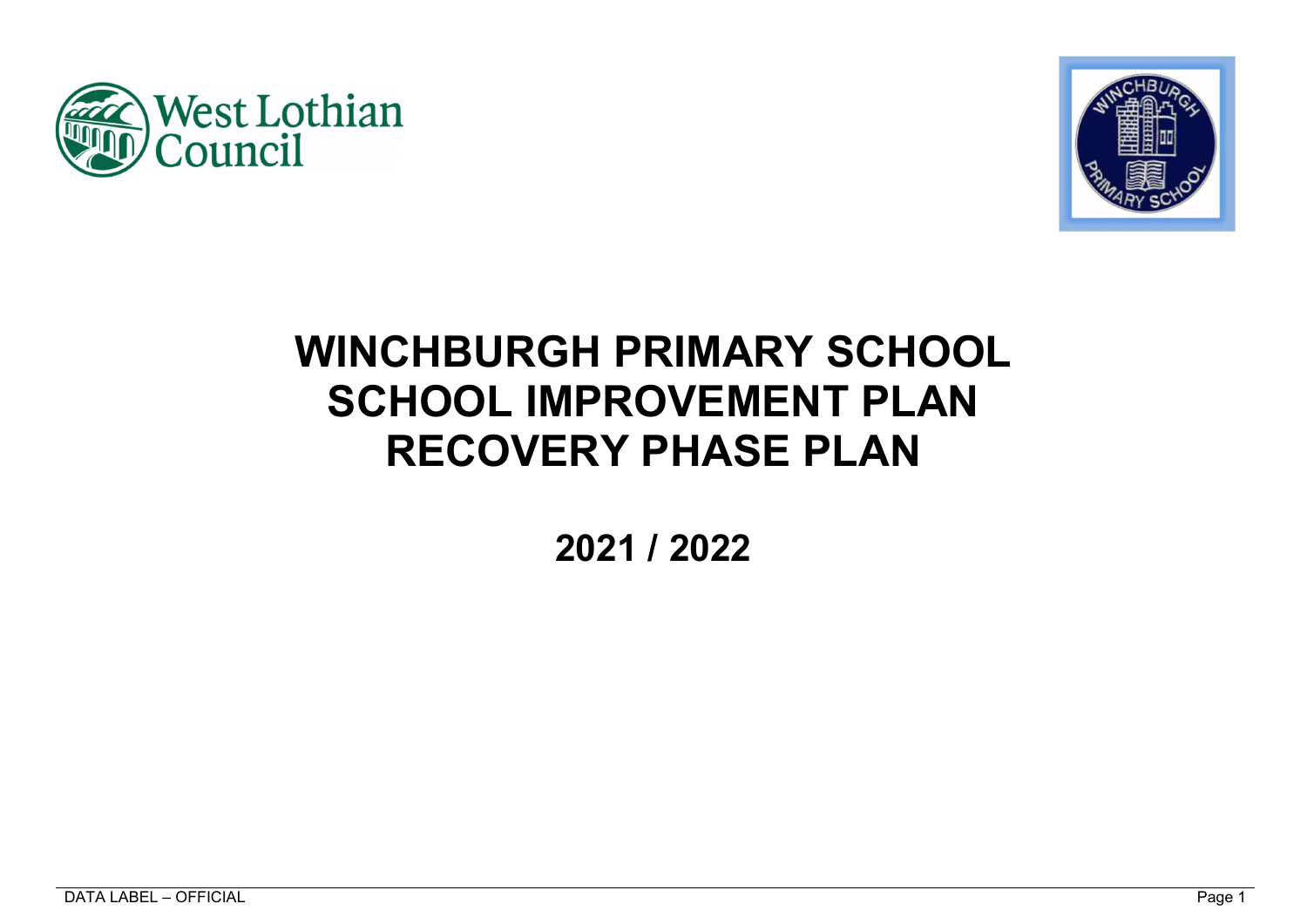



# WINCHBURGH PRIMARY SCHOOL SCHOOL IMPROVEMENT PLAN RECOVERY PHASE PLAN

2021 / 2022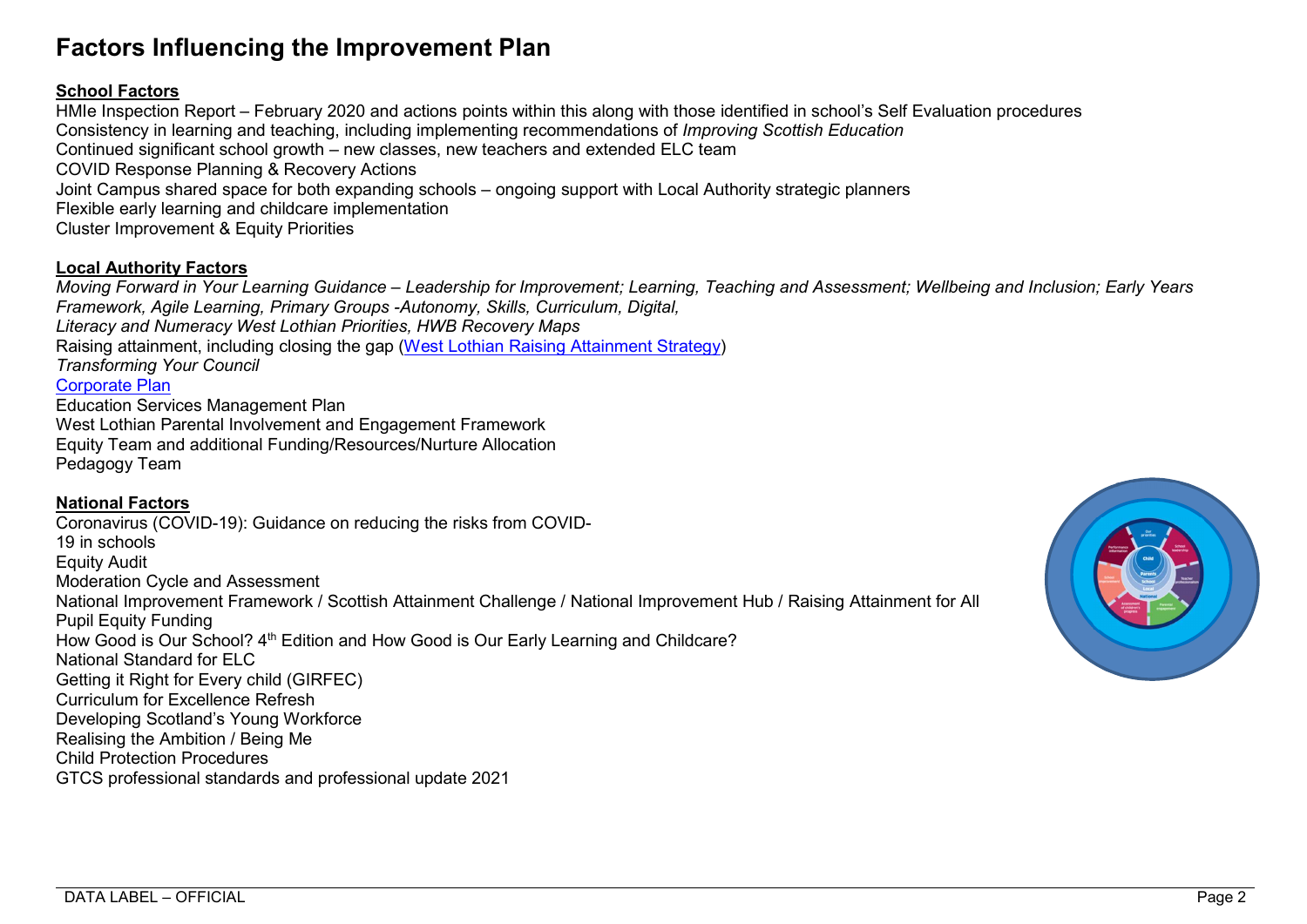## Factors Influencing the Improvement Plan

## School Factors

HMIe Inspection Report – February 2020 and actions points within this along with those identified in school's Self Evaluation procedures Consistency in learning and teaching, including implementing recommendations of Improving Scottish Education Continued significant school growth – new classes, new teachers and extended ELC team COVID Response Planning & Recovery Actions Joint Campus shared space for both expanding schools – ongoing support with Local Authority strategic planners Flexible early learning and childcare implementation Cluster Improvement & Equity Priorities

## Local Authority Factors

Moving Forward in Your Learning Guidance – Leadership for Improvement; Learning, Teaching and Assessment; Wellbeing and Inclusion; Early Years Framework, Agile Learning, Primary Groups -Autonomy, Skills, Curriculum, Digital,

Literacy and Numeracy West Lothian Priorities, HWB Recovery Maps

Raising attainment, including closing the gap (West Lothian Raising Attainment Strategy)

Transforming Your Council

Corporate Plan

Education Services Management Plan West Lothian Parental Involvement and Engagement Framework Equity Team and additional Funding/Resources/Nurture Allocation Pedagogy Team

## National Factors

Coronavirus (COVID-19): Guidance on reducing the risks from COVID-19 in schools Equity Audit Moderation Cycle and Assessment National Improvement Framework / Scottish Attainment Challenge / National Improvement Hub / Raising Attainment for All Pupil Equity Funding How Good is Our School? 4<sup>th</sup> Edition and How Good is Our Early Learning and Childcare? National Standard for ELC Getting it Right for Every child (GIRFEC) Curriculum for Excellence Refresh Developing Scotland's Young Workforce Realising the Ambition / Being Me Child Protection Procedures GTCS professional standards and professional update 2021

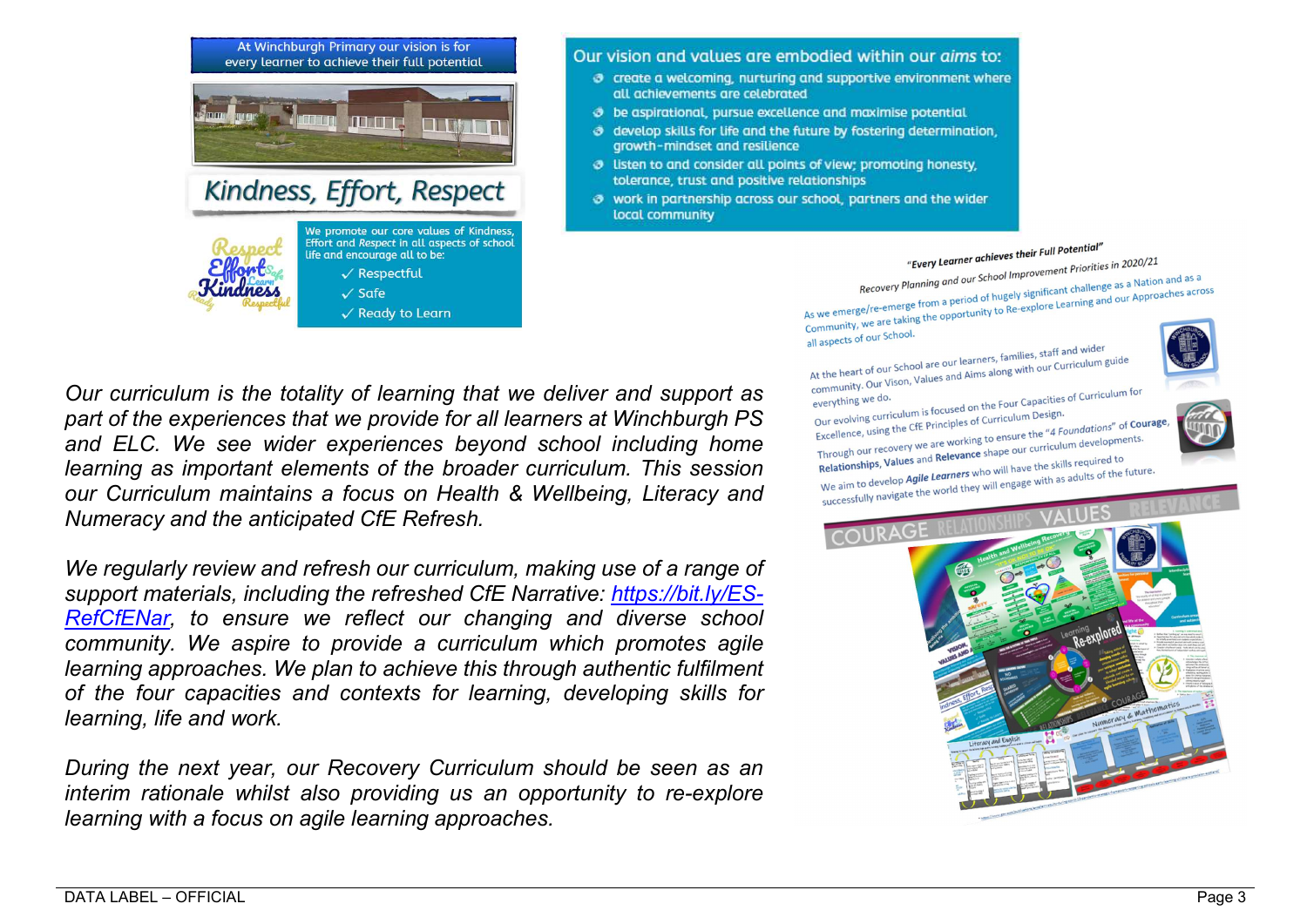

#### Our vision and values are embodied within our aims to:

- $\sigma$  create a welcoming, nurturing and supportive environment where all achievements are celebrated
- **3** be aspirational, pursue excellence and maximise potential
- o develop skills for life and the future by fostering determination. growth-mindset and resilience
- **3** listen to and consider all points of view: promoting honesty. tolerance, trust and positive relationships
- 3 work in partnership across our school, partners and the wider local community



"Every Learner achieves their Full Potential"<br>Recovery Planning and our School Improvement Priorities in 2020/21<br>Recovery Planning and our School Improvement challenge as a Approx Recovery Planning and our School Improvement Priorities in 2020, 22<br>As we emerge/re-emerge from a period of hugely significant challenge as a Nation and as a<br>As we emerge/re-emerge from a period of hugely significant chall Recovery Planning and our School.<br>As we emerge/re-emerge from a period of hugely significant challenge as a Nation and as a<br>Community, we are taking the opportunity to Re-explore Learning and our Approaches across<br>Communit

community, we all

all aspects of our school.<br>At the heart of our School are our learners, families, staff and wider At the heart of our School are our learners, families, staff and wide.<br>community. Our Vison, Values and Aims along with our Curriculum guide<br>community. Our April



community. Our Vison, values of everything we do.<br>Our evolving curriculum is focused on the Four Capacities of Curriculum for<br>Our evolving curriculum is focused on the Four Capacities of Curriculum Design. everything we do. our evolving curriculum is focused on the Four Capacity<br>Excellence, using the CfE Principles of Curriculum Design.<br>Excellence, using the CfE Principles to ensure the "4 Four Our evolving curriculum is focused on the curriculum Design.<br>Excellence, using the CfE Principles of Curriculum Design.<br>Through our recovery we are working to ensure the "4 Foundations" of Courage,<br>Through our recovery we Excellence, using the CIE Timograph<br>Through our recovery we are working to ensure the "4 Foundations" of our<br>Relationships, Values and Relevance shape our curriculum developments. Through our recovery we all Relevance shape our curriculum and<br>Relationships, Values and Relevance shape our curriculum and Relationships, Values and Relevance shape will have the skills required to<br>We aim to develop Agile





Our curriculum is the totality of learning that we deliver and support as part of the experiences that we provide for all learners at Winchburgh PS and ELC. We see wider experiences beyond school including home learning as important elements of the broader curriculum. This session our Curriculum maintains a focus on Health & Wellbeing, Literacy and Numeracy and the anticipated CfE Refresh.

We regularly review and refresh our curriculum, making use of a range of support materials, including the refreshed CfE Narrative: https://bit.ly/ES-RefCfENar, to ensure we reflect our changing and diverse school community. We aspire to provide a curriculum which promotes agile learning approaches. We plan to achieve this through authentic fulfilment of the four capacities and contexts for learning, developing skills for learning, life and work.

During the next year, our Recovery Curriculum should be seen as an interim rationale whilst also providing us an opportunity to re-explore learning with a focus on agile learning approaches.

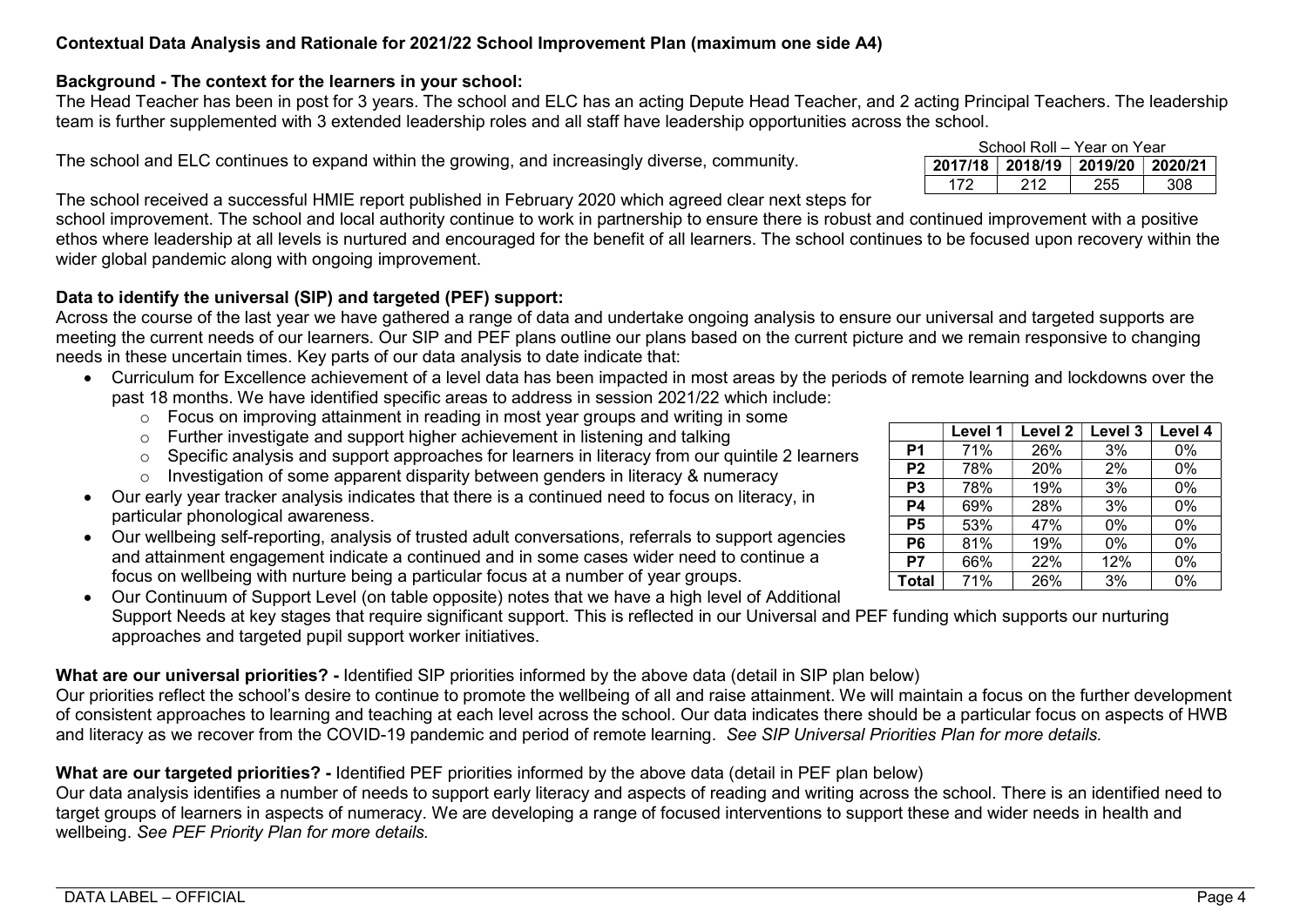## Contextual Data Analysis and Rationale for 2021/22 School Improvement Plan (maximum one side A4)

## Background - The context for the learners in your school:

The Head Teacher has been in post for 3 years. The school and ELC has an acting Depute Head Teacher, and 2 acting Principal Teachers. The leadership team is further supplemented with 3 extended leadership roles and all staff have leadership opportunities across the school.

The school and ELC continues to expand within the growing, and increasingly diverse, community.

The school received a successful HMIE report published in February 2020 which agreed clear next steps for

school improvement. The school and local authority continue to work in partnership to ensure there is robust and continued improvement with a positive ethos where leadership at all levels is nurtured and encouraged for the benefit of all learners. The school continues to be focused upon recovery within the wider global pandemic along with ongoing improvement.

## Data to identify the universal (SIP) and targeted (PEF) support:

Across the course of the last year we have gathered a range of data and undertake ongoing analysis to ensure our universal and targeted supports are meeting the current needs of our learners. Our SIP and PEF plans outline our plans based on the current picture and we remain responsive to changing needs in these uncertain times. Key parts of our data analysis to date indicate that:

- Curriculum for Excellence achievement of a level data has been impacted in most areas by the periods of remote learning and lockdowns over the past 18 months. We have identified specific areas to address in session 2021/22 which include:
	- $\circ$  Focus on improving attainment in reading in most year groups and writing in some
	- o Further investigate and support higher achievement in listening and talking
	- $\circ$  Specific analysis and support approaches for learners in literacy from our quintile 2 learners
	- $\circ$  Investigation of some apparent disparity between genders in literacy & numeracy
- Our early year tracker analysis indicates that there is a continued need to focus on literacy, in particular phonological awareness.
- Our wellbeing self-reporting, analysis of trusted adult conversations, referrals to support agencies and attainment engagement indicate a continued and in some cases wider need to continue a focus on wellbeing with nurture being a particular focus at a number of year groups.

 Our Continuum of Support Level (on table opposite) notes that we have a high level of Additional Support Needs at key stages that require significant support. This is reflected in our Universal and PEF funding which supports our nurturing approaches and targeted pupil support worker initiatives.

What are our universal priorities? - Identified SIP priorities informed by the above data (detail in SIP plan below)

Our priorities reflect the school's desire to continue to promote the wellbeing of all and raise attainment. We will maintain a focus on the further development of consistent approaches to learning and teaching at each level across the school. Our data indicates there should be a particular focus on aspects of HWB and literacy as we recover from the COVID-19 pandemic and period of remote learning. See SIP Universal Priorities Plan for more details.

## What are our targeted priorities? - Identified PEF priorities informed by the above data (detail in PEF plan below)

Our data analysis identifies a number of needs to support early literacy and aspects of reading and writing across the school. There is an identified need to target groups of learners in aspects of numeracy. We are developing a range of focused interventions to support these and wider needs in health and wellbeing. See PEF Priority Plan for more details.

| School Roll – Year on Year |     |                                 |  |  |
|----------------------------|-----|---------------------------------|--|--|
|                            |     | 2017/18 2018/19 2019/20 2020/21 |  |  |
| 172                        | 212 |                                 |  |  |

|                | Level 1 | Level 2 | Level 3 | Level 4 |
|----------------|---------|---------|---------|---------|
| P <sub>1</sub> | 71%     | 26%     | 3%      | $0\%$   |
| P <sub>2</sub> | 78%     | 20%     | 2%      | 0%      |
| P <sub>3</sub> | 78%     | 19%     | 3%      | 0%      |
| P4             | 69%     | 28%     | 3%      | 0%      |
| P <sub>5</sub> | 53%     | 47%     | $0\%$   | 0%      |
| P <sub>6</sub> | 81%     | 19%     | 0%      | 0%      |
| P7             | 66%     | 22%     | 12%     | 0%      |
| <b>Total</b>   | 71%     | 26%     | 3%      | 0%      |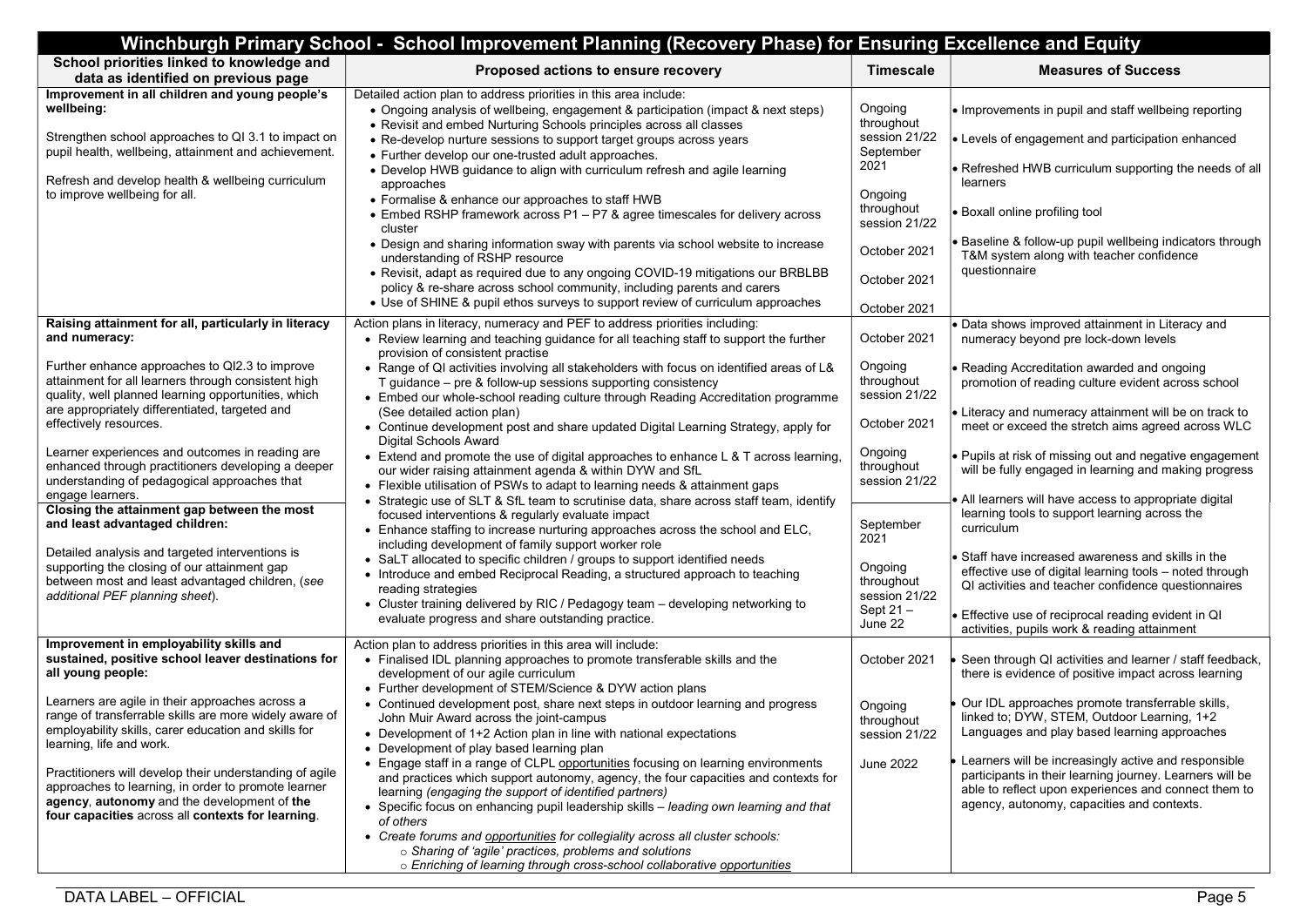| Winchburgh Primary School - School Improvement Planning (Recovery Phase) for Ensuring Excellence and Equity                                                                                                        |                                                                                                                                                                                                                                                                                                                                         |                                        |                                                                                                                                                                                                                                  |  |  |
|--------------------------------------------------------------------------------------------------------------------------------------------------------------------------------------------------------------------|-----------------------------------------------------------------------------------------------------------------------------------------------------------------------------------------------------------------------------------------------------------------------------------------------------------------------------------------|----------------------------------------|----------------------------------------------------------------------------------------------------------------------------------------------------------------------------------------------------------------------------------|--|--|
| School priorities linked to knowledge and<br>data as identified on previous page                                                                                                                                   | Proposed actions to ensure recovery                                                                                                                                                                                                                                                                                                     | <b>Timescale</b>                       | <b>Measures of Success</b>                                                                                                                                                                                                       |  |  |
| Improvement in all children and young people's<br>wellbeing:<br>Strengthen school approaches to QI 3.1 to impact on                                                                                                | Detailed action plan to address priorities in this area include:<br>• Ongoing analysis of wellbeing, engagement & participation (impact & next steps)<br>• Revisit and embed Nurturing Schools principles across all classes<br>• Re-develop nurture sessions to support target groups across years                                     | Ongoing<br>throughout<br>session 21/22 | $\bullet$ Improvements in pupil and staff wellbeing reporting<br>• Levels of engagement and participation enhanced                                                                                                               |  |  |
| pupil health, wellbeing, attainment and achievement.<br>Refresh and develop health & wellbeing curriculum                                                                                                          | • Further develop our one-trusted adult approaches.<br>• Develop HWB guidance to align with curriculum refresh and agile learning                                                                                                                                                                                                       | September<br>2021                      | • Refreshed HWB curriculum supporting the needs of all                                                                                                                                                                           |  |  |
| to improve wellbeing for all.                                                                                                                                                                                      | approaches<br>• Formalise & enhance our approaches to staff HWB<br>• Embed RSHP framework across P1 – P7 & agree timescales for delivery across                                                                                                                                                                                         | Ongoing<br>throughout                  | learners<br><b>Boxall online profiling tool</b>                                                                                                                                                                                  |  |  |
|                                                                                                                                                                                                                    | cluster<br>• Design and sharing information sway with parents via school website to increase<br>understanding of RSHP resource                                                                                                                                                                                                          | session 21/22<br>October 2021          | Baseline & follow-up pupil wellbeing indicators through<br>T&M system along with teacher confidence                                                                                                                              |  |  |
|                                                                                                                                                                                                                    | • Revisit, adapt as required due to any ongoing COVID-19 mitigations our BRBLBB<br>policy & re-share across school community, including parents and carers<br>• Use of SHINE & pupil ethos surveys to support review of curriculum approaches                                                                                           | October 2021<br>October 2021           | questionnaire                                                                                                                                                                                                                    |  |  |
| Raising attainment for all, particularly in literacy<br>and numeracy:                                                                                                                                              | Action plans in literacy, numeracy and PEF to address priorities including:<br>• Review learning and teaching guidance for all teaching staff to support the further<br>provision of consistent practise                                                                                                                                | October 2021                           | Data shows improved attainment in Literacy and<br>numeracy beyond pre lock-down levels                                                                                                                                           |  |  |
| Further enhance approaches to QI2.3 to improve<br>attainment for all learners through consistent high<br>quality, well planned learning opportunities, which                                                       | • Range of QI activities involving all stakeholders with focus on identified areas of L&<br>T guidance - pre & follow-up sessions supporting consistency<br>• Embed our whole-school reading culture through Reading Accreditation programme                                                                                            | Ongoing<br>throughout<br>session 21/22 | • Reading Accreditation awarded and ongoing<br>promotion of reading culture evident across school                                                                                                                                |  |  |
| are appropriately differentiated, targeted and<br>effectively resources.                                                                                                                                           | (See detailed action plan)<br>• Continue development post and share updated Digital Learning Strategy, apply for<br><b>Digital Schools Award</b>                                                                                                                                                                                        | October 2021                           | • Literacy and numeracy attainment will be on track to<br>meet or exceed the stretch aims agreed across WLC                                                                                                                      |  |  |
| Learner experiences and outcomes in reading are<br>enhanced through practitioners developing a deeper<br>understanding of pedagogical approaches that                                                              | • Extend and promote the use of digital approaches to enhance L & T across learning,<br>our wider raising attainment agenda & within DYW and SfL<br>• Flexible utilisation of PSWs to adapt to learning needs & attainment gaps                                                                                                         | Ongoing<br>throughout<br>session 21/22 | • Pupils at risk of missing out and negative engagement<br>will be fully engaged in learning and making progress                                                                                                                 |  |  |
| engage learners.<br>Closing the attainment gap between the most<br>and least advantaged children:                                                                                                                  | • Strategic use of SLT & SfL team to scrutinise data, share across staff team, identify<br>focused interventions & regularly evaluate impact<br>• Enhance staffing to increase nurturing approaches across the school and ELC,<br>including development of family support worker role                                                   | September<br>2021                      | All learners will have access to appropriate digital<br>learning tools to support learning across the<br>curriculum                                                                                                              |  |  |
| Detailed analysis and targeted interventions is<br>supporting the closing of our attainment gap<br>between most and least advantaged children, (see<br>additional PEF planning sheet).                             | • SaLT allocated to specific children / groups to support identified needs<br>• Introduce and embed Reciprocal Reading, a structured approach to teaching<br>reading strategies                                                                                                                                                         | Ongoing<br>throughout<br>session 21/22 | Staff have increased awareness and skills in the<br>effective use of digital learning tools - noted through<br>QI activities and teacher confidence questionnaires                                                               |  |  |
|                                                                                                                                                                                                                    | • Cluster training delivered by RIC / Pedagogy team - developing networking to<br>evaluate progress and share outstanding practice.                                                                                                                                                                                                     | Sept 21-<br>June 22                    | Effective use of reciprocal reading evident in QI<br>activities, pupils work & reading attainment                                                                                                                                |  |  |
| Improvement in employability skills and<br>sustained, positive school leaver destinations for<br>all young people:                                                                                                 | Action plan to address priorities in this area will include:<br>• Finalised IDL planning approaches to promote transferable skills and the<br>development of our agile curriculum<br>• Further development of STEM/Science & DYW action plans                                                                                           | October 2021                           | Seen through QI activities and learner / staff feedback,<br>there is evidence of positive impact across learning                                                                                                                 |  |  |
| Learners are agile in their approaches across a<br>range of transferrable skills are more widely aware of<br>employability skills, carer education and skills for<br>learning, life and work.                      | • Continued development post, share next steps in outdoor learning and progress<br>John Muir Award across the joint-campus<br>• Development of 1+2 Action plan in line with national expectations<br>• Development of play based learning plan                                                                                          | Ongoing<br>throughout<br>session 21/22 | Our IDL approaches promote transferrable skills,<br>linked to; DYW, STEM, Outdoor Learning, 1+2<br>Languages and play based learning approaches                                                                                  |  |  |
| Practitioners will develop their understanding of agile<br>approaches to learning, in order to promote learner<br>agency, autonomy and the development of the<br>four capacities across all contexts for learning. | • Engage staff in a range of CLPL opportunities focusing on learning environments<br>and practices which support autonomy, agency, the four capacities and contexts for<br>learning (engaging the support of identified partners)<br>• Specific focus on enhancing pupil leadership skills – leading own learning and that<br>of others | June 2022                              | $\bullet$ Learners will be increasingly active and responsible<br>participants in their learning journey. Learners will be<br>able to reflect upon experiences and connect them to<br>agency, autonomy, capacities and contexts. |  |  |
|                                                                                                                                                                                                                    | • Create forums and opportunities for collegiality across all cluster schools:<br>o Sharing of 'agile' practices, problems and solutions<br>o Enriching of learning through cross-school collaborative opportunities                                                                                                                    |                                        |                                                                                                                                                                                                                                  |  |  |